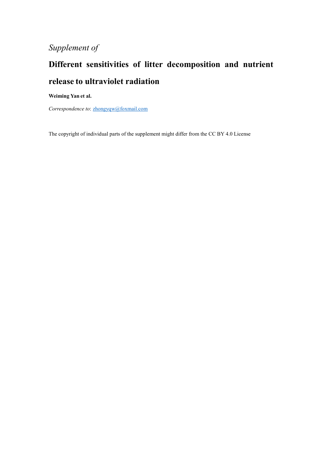## *Supplement of*

## **Different sensitivities of litter decomposition and nutrient release to ultraviolet radiation**

## **Weiming Yan et al.**

*Correspondence to*: [zhongyqw@foxmail.com](mailto:zhongyqw@foxmail.com)

The copyright of individual parts of the supplement might differ from the CC BY 4.0 License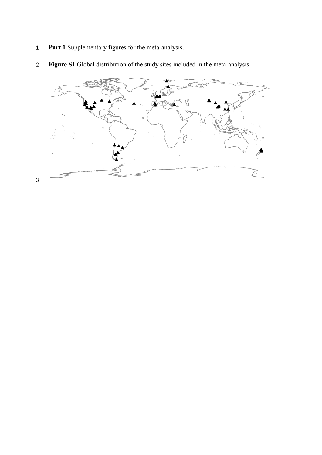**Part 1** Supplementary figures for the meta-analysis.



**Figure S1** Global distribution of the study sites included in the meta-analysis.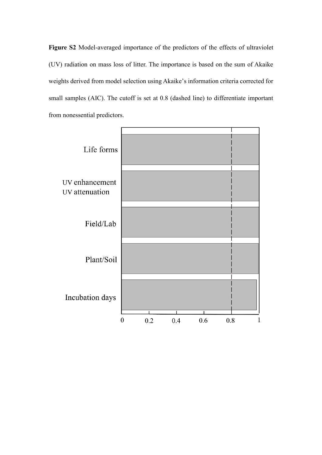**Figure S2** Model-averaged importance of the predictors of the effects of ultraviolet (UV) radiation on mass loss of litter. The importance is based on the sum of Akaike weights derived from model selection using Akaike's information criteria corrected for small samples (AIC). The cutoff is set at 0.8 (dashed line) to differentiate important from nonessential predictors.

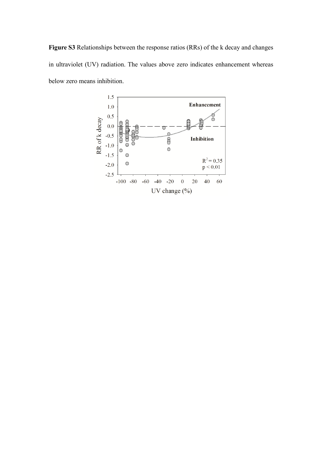**Figure S3** Relationships between the response ratios (RRs) of the k decay and changes in ultraviolet (UV) radiation. The values above zero indicates enhancement whereas below zero means inhibition.

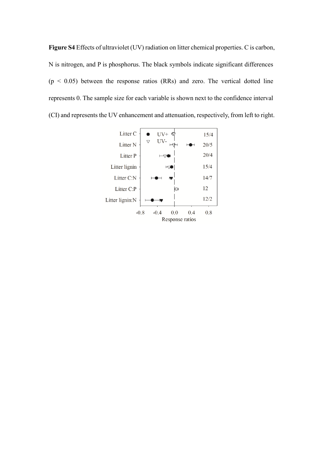**Figure S4** Effects of ultraviolet (UV) radiation on litter chemical properties. C is carbon, N is nitrogen, and P is phosphorus. The black symbols indicate significant differences  $(p < 0.05)$  between the response ratios (RRs) and zero. The vertical dotted line represents 0. The sample size for each variable is shown next to the confidence interval (CI) and represents the UV enhancement and attenuation, respectively, from left to right.

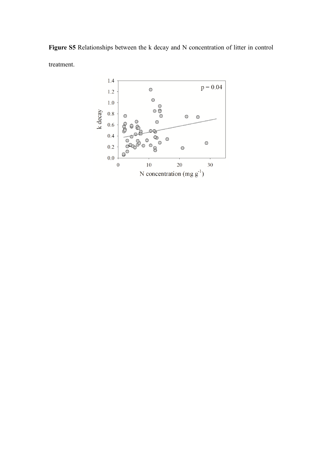**Figure S5** Relationships between the k decay and N concentration of litter in control treatment.

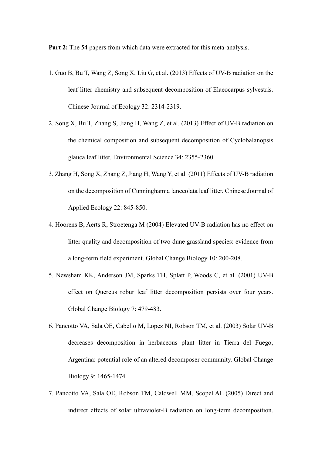**Part 2:** The 54 papers from which data were extracted for this meta-analysis.

- 1. Guo B, Bu T, Wang Z, Song X, Liu G, et al. (2013) Effects of UV-B radiation on the leaf litter chemistry and subsequent decomposition of Elaeocarpus sylvestris. Chinese Journal of Ecology 32: 2314-2319.
- 2. Song X, Bu T, Zhang S, Jiang H, Wang Z, et al. (2013) Effect of UV-B radiation on the chemical composition and subsequent decomposition of Cyclobalanopsis glauca leaf litter. Environmental Science 34: 2355-2360.
- 3. Zhang H, Song X, Zhang Z, Jiang H, Wang Y, et al. (2011) Effects of UV-B radiation on the decomposition of Cunninghamia lanceolata leaf litter. Chinese Journal of Applied Ecology 22: 845-850.
- 4. Hoorens B, Aerts R, Stroetenga M (2004) Elevated UV-B radiation has no effect on litter quality and decomposition of two dune grassland species: evidence from a long-term field experiment. Global Change Biology 10: 200-208.
- 5. Newsham KK, Anderson JM, Sparks TH, Splatt P, Woods C, et al. (2001) UV-B effect on Quercus robur leaf litter decomposition persists over four years. Global Change Biology 7: 479-483.
- 6. Pancotto VA, Sala OE, Cabello M, Lopez NI, Robson TM, et al. (2003) Solar UV-B decreases decomposition in herbaceous plant litter in Tierra del Fuego, Argentina: potential role of an altered decomposer community. Global Change Biology 9: 1465-1474.
- 7. Pancotto VA, Sala OE, Robson TM, Caldwell MM, Scopel AL (2005) Direct and indirect effects of solar ultraviolet-B radiation on long-term decomposition.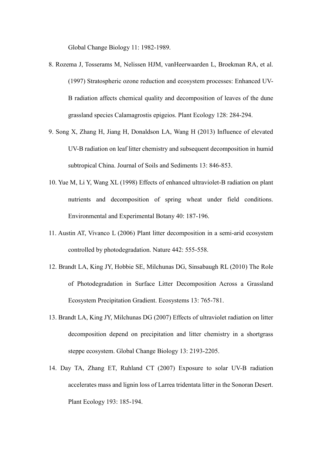Global Change Biology 11: 1982-1989.

- 8. Rozema J, Tosserams M, Nelissen HJM, vanHeerwaarden L, Broekman RA, et al. (1997) Stratospheric ozone reduction and ecosystem processes: Enhanced UV-B radiation affects chemical quality and decomposition of leaves of the dune grassland species Calamagrostis epigeios. Plant Ecology 128: 284-294.
- 9. Song X, Zhang H, Jiang H, Donaldson LA, Wang H (2013) Influence of elevated UV-B radiation on leaf litter chemistry and subsequent decomposition in humid subtropical China. Journal of Soils and Sediments 13: 846-853.
- 10. Yue M, Li Y, Wang XL (1998) Effects of enhanced ultraviolet-B radiation on plant nutrients and decomposition of spring wheat under field conditions. Environmental and Experimental Botany 40: 187-196.
- 11. Austin AT, Vivanco L (2006) Plant litter decomposition in a semi-arid ecosystem controlled by photodegradation. Nature 442: 555-558.
- 12. Brandt LA, King JY, Hobbie SE, Milchunas DG, Sinsabaugh RL (2010) The Role of Photodegradation in Surface Litter Decomposition Across a Grassland Ecosystem Precipitation Gradient. Ecosystems 13: 765-781.
- 13. Brandt LA, King JY, Milchunas DG (2007) Effects of ultraviolet radiation on litter decomposition depend on precipitation and litter chemistry in a shortgrass steppe ecosystem. Global Change Biology 13: 2193-2205.
- 14. Day TA, Zhang ET, Ruhland CT (2007) Exposure to solar UV-B radiation accelerates mass and lignin loss of Larrea tridentata litter in the Sonoran Desert. Plant Ecology 193: 185-194.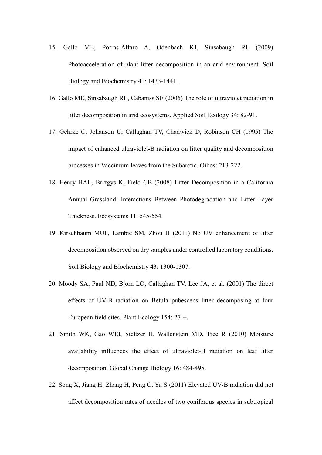- 15. Gallo ME, Porras-Alfaro A, Odenbach KJ, Sinsabaugh RL (2009) Photoacceleration of plant litter decomposition in an arid environment. Soil Biology and Biochemistry 41: 1433-1441.
- 16. Gallo ME, Sinsabaugh RL, Cabaniss SE (2006) The role of ultraviolet radiation in litter decomposition in arid ecosystems. Applied Soil Ecology 34: 82-91.
- 17. Gehrke C, Johanson U, Callaghan TV, Chadwick D, Robinson CH (1995) The impact of enhanced ultraviolet-B radiation on litter quality and decomposition processes in Vaccinium leaves from the Subarctic. Oikos: 213-222.
- 18. Henry HAL, Brizgys K, Field CB (2008) Litter Decomposition in a California Annual Grassland: Interactions Between Photodegradation and Litter Layer Thickness. Ecosystems 11: 545-554.
- 19. Kirschbaum MUF, Lambie SM, Zhou H (2011) No UV enhancement of litter decomposition observed on dry samples under controlled laboratory conditions. Soil Biology and Biochemistry 43: 1300-1307.
- 20. Moody SA, Paul ND, Bjorn LO, Callaghan TV, Lee JA, et al. (2001) The direct effects of UV-B radiation on Betula pubescens litter decomposing at four European field sites. Plant Ecology 154: 27-+.
- 21. Smith WK, Gao WEI, Steltzer H, Wallenstein MD, Tree R (2010) Moisture availability influences the effect of ultraviolet-B radiation on leaf litter decomposition. Global Change Biology 16: 484-495.
- 22. Song X, Jiang H, Zhang H, Peng C, Yu S (2011) Elevated UV-B radiation did not affect decomposition rates of needles of two coniferous species in subtropical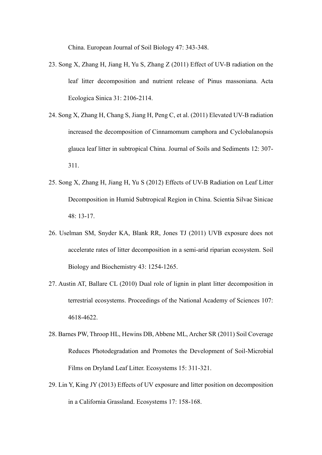China. European Journal of Soil Biology 47: 343-348.

- 23. Song X, Zhang H, Jiang H, Yu S, Zhang Z (2011) Effect of UV-B radiation on the leaf litter decomposition and nutrient release of Pinus massoniana. Acta Ecologica Sinica 31: 2106-2114.
- 24. Song X, Zhang H, Chang S, Jiang H, Peng C, et al. (2011) Elevated UV-B radiation increased the decomposition of Cinnamomum camphora and Cyclobalanopsis glauca leaf litter in subtropical China. Journal of Soils and Sediments 12: 307- 311.
- 25. Song X, Zhang H, Jiang H, Yu S (2012) Effects of UV-B Radiation on Leaf Litter Decomposition in Humid Subtropical Region in China. Scientia Silvae Sinicae 48: 13-17.
- 26. Uselman SM, Snyder KA, Blank RR, Jones TJ (2011) UVB exposure does not accelerate rates of litter decomposition in a semi-arid riparian ecosystem. Soil Biology and Biochemistry 43: 1254-1265.
- 27. Austin AT, Ballare CL (2010) Dual role of lignin in plant litter decomposition in terrestrial ecosystems. Proceedings of the National Academy of Sciences 107: 4618-4622.
- 28. Barnes PW, Throop HL, Hewins DB, Abbene ML, Archer SR (2011) Soil Coverage Reduces Photodegradation and Promotes the Development of Soil-Microbial Films on Dryland Leaf Litter. Ecosystems 15: 311-321.
- 29. Lin Y, King JY (2013) Effects of UV exposure and litter position on decomposition in a California Grassland. Ecosystems 17: 158-168.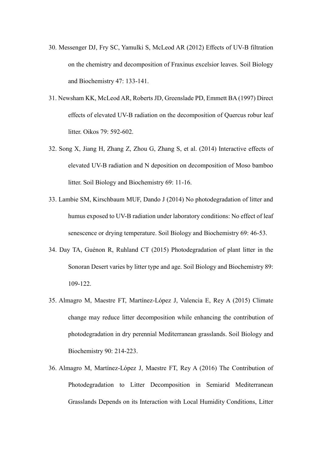- 30. Messenger DJ, Fry SC, Yamulki S, McLeod AR (2012) Effects of UV-B filtration on the chemistry and decomposition of Fraxinus excelsior leaves. Soil Biology and Biochemistry 47: 133-141.
- 31. Newsham KK, McLeod AR, Roberts JD, Greenslade PD, Emmett BA (1997) Direct effects of elevated UV-B radiation on the decomposition of Quercus robur leaf litter. Oikos 79: 592-602.
- 32. Song X, Jiang H, Zhang Z, Zhou G, Zhang S, et al. (2014) Interactive effects of elevated UV-B radiation and N deposition on decomposition of Moso bamboo litter. Soil Biology and Biochemistry 69: 11-16.
- 33. Lambie SM, Kirschbaum MUF, Dando J (2014) No photodegradation of litter and humus exposed to UV-B radiation under laboratory conditions: No effect of leaf senescence or drying temperature. Soil Biology and Biochemistry 69: 46-53.
- 34. Day TA, Guénon R, Ruhland CT (2015) Photodegradation of plant litter in the Sonoran Desert varies by litter type and age. Soil Biology and Biochemistry 89: 109-122.
- 35. Almagro M, Maestre FT, Martínez-López J, Valencia E, Rey A (2015) Climate change may reduce litter decomposition while enhancing the contribution of photodegradation in dry perennial Mediterranean grasslands. Soil Biology and Biochemistry 90: 214-223.
- 36. Almagro M, Martínez-López J, Maestre FT, Rey A (2016) The Contribution of Photodegradation to Litter Decomposition in Semiarid Mediterranean Grasslands Depends on its Interaction with Local Humidity Conditions, Litter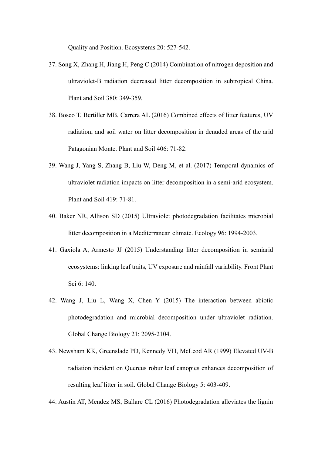Quality and Position. Ecosystems 20: 527-542.

- 37. Song X, Zhang H, Jiang H, Peng C (2014) Combination of nitrogen deposition and ultraviolet-B radiation decreased litter decomposition in subtropical China. Plant and Soil 380: 349-359.
- 38. Bosco T, Bertiller MB, Carrera AL (2016) Combined effects of litter features, UV radiation, and soil water on litter decomposition in denuded areas of the arid Patagonian Monte. Plant and Soil 406: 71-82.
- 39. Wang J, Yang S, Zhang B, Liu W, Deng M, et al. (2017) Temporal dynamics of ultraviolet radiation impacts on litter decomposition in a semi-arid ecosystem. Plant and Soil 419: 71-81.
- 40. Baker NR, Allison SD (2015) Ultraviolet photodegradation facilitates microbial litter decomposition in a Mediterranean climate. Ecology 96: 1994-2003.
- 41. Gaxiola A, Armesto JJ (2015) Understanding litter decomposition in semiarid ecosystems: linking leaf traits, UV exposure and rainfall variability. Front Plant Sci 6: 140.
- 42. Wang J, Liu L, Wang X, Chen Y (2015) The interaction between abiotic photodegradation and microbial decomposition under ultraviolet radiation. Global Change Biology 21: 2095-2104.
- 43. Newsham KK, Greenslade PD, Kennedy VH, McLeod AR (1999) Elevated UV-B radiation incident on Quercus robur leaf canopies enhances decomposition of resulting leaf litter in soil. Global Change Biology 5: 403-409.
- 44. Austin AT, Mendez MS, Ballare CL (2016) Photodegradation alleviates the lignin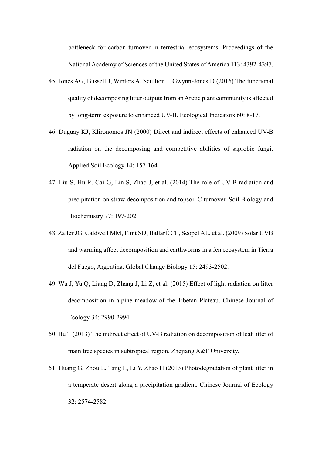bottleneck for carbon turnover in terrestrial ecosystems. Proceedings of the National Academy of Sciences of the United States of America 113: 4392-4397.

- 45. Jones AG, Bussell J, Winters A, Scullion J, Gwynn-Jones D (2016) The functional quality of decomposing litter outputs from an Arctic plant community is affected by long-term exposure to enhanced UV-B. Ecological Indicators 60: 8-17.
- 46. Duguay KJ, Klironomos JN (2000) Direct and indirect effects of enhanced UV-B radiation on the decomposing and competitive abilities of saprobic fungi. Applied Soil Ecology 14: 157-164.
- 47. Liu S, Hu R, Cai G, Lin S, Zhao J, et al. (2014) The role of UV-B radiation and precipitation on straw decomposition and topsoil C turnover. Soil Biology and Biochemistry 77: 197-202.
- 48. Zaller JG, Caldwell MM, Flint SD, BallarÉ CL, Scopel AL, et al. (2009) Solar UVB and warming affect decomposition and earthworms in a fen ecosystem in Tierra del Fuego, Argentina. Global Change Biology 15: 2493-2502.
- 49. Wu J, Yu Q, Liang D, Zhang J, Li Z, et al. (2015) Effect of light radiation on litter decomposition in alpine meadow of the Tibetan Plateau. Chinese Journal of Ecology 34: 2990-2994.
- 50. Bu T (2013) The indirect effect of UV-B radiation on decomposition of leaf litter of main tree species in subtropical region. Zhejiang A&F University.
- 51. Huang G, Zhou L, Tang L, Li Y, Zhao H (2013) Photodegradation of plant litter in a temperate desert along a precipitation gradient. Chinese Journal of Ecology 32: 2574-2582.